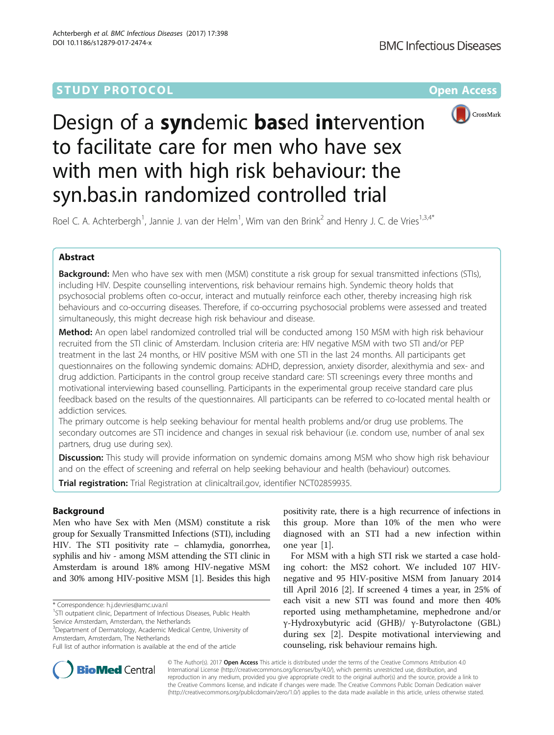# **STUDY PROTOCOL CONSUMING THE RESERVE ACCESS**



# Design of a syndemic based intervention to facilitate care for men who have sex with men with high risk behaviour: the syn.bas.in randomized controlled trial

Roel C. A. Achterbergh<sup>1</sup>, Jannie J. van der Helm<sup>1</sup>, Wim van den Brink<sup>2</sup> and Henry J. C. de Vries<sup>1,3,4\*</sup>

# Abstract

Background: Men who have sex with men (MSM) constitute a risk group for sexual transmitted infections (STIs), including HIV. Despite counselling interventions, risk behaviour remains high. Syndemic theory holds that psychosocial problems often co-occur, interact and mutually reinforce each other, thereby increasing high risk behaviours and co-occurring diseases. Therefore, if co-occurring psychosocial problems were assessed and treated simultaneously, this might decrease high risk behaviour and disease.

**Method:** An open label randomized controlled trial will be conducted among 150 MSM with high risk behaviour recruited from the STI clinic of Amsterdam. Inclusion criteria are: HIV negative MSM with two STI and/or PEP treatment in the last 24 months, or HIV positive MSM with one STI in the last 24 months. All participants get questionnaires on the following syndemic domains: ADHD, depression, anxiety disorder, alexithymia and sex- and drug addiction. Participants in the control group receive standard care: STI screenings every three months and motivational interviewing based counselling. Participants in the experimental group receive standard care plus feedback based on the results of the questionnaires. All participants can be referred to co-located mental health or addiction services.

The primary outcome is help seeking behaviour for mental health problems and/or drug use problems. The secondary outcomes are STI incidence and changes in sexual risk behaviour (i.e. condom use, number of anal sex partners, drug use during sex).

**Discussion:** This study will provide information on syndemic domains among MSM who show high risk behaviour and on the effect of screening and referral on help seeking behaviour and health (behaviour) outcomes.

**Trial registration:** Trial Registration at clinicaltrail.gov, identifier [NCT02859935](https://clinicaltrials.gov/ct2/show/NCT02859935).

# Background

Men who have Sex with Men (MSM) constitute a risk group for Sexually Transmitted Infections (STI), including HIV. The STI positivity rate – chlamydia, gonorrhea, syphilis and hiv - among MSM attending the STI clinic in Amsterdam is around 18% among HIV-negative MSM and 30% among HIV-positive MSM [\[1\]](#page-5-0). Besides this high

positivity rate, there is a high recurrence of infections in this group. More than 10% of the men who were diagnosed with an STI had a new infection within one year [\[1](#page-5-0)].

For MSM with a high STI risk we started a case holding cohort: the MS2 cohort. We included 107 HIVnegative and 95 HIV-positive MSM from January 2014 till April 2016 [[2](#page-5-0)]. If screened 4 times a year, in 25% of each visit a new STI was found and more then 40% reported using methamphetamine, mephedrone and/or γ-Hydroxybutyric acid (GHB)/ γ-Butyrolactone (GBL) during sex [[2\]](#page-5-0). Despite motivational interviewing and counseling, risk behaviour remains high.



© The Author(s). 2017 Open Access This article is distributed under the terms of the Creative Commons Attribution 4.0 International License [\(http://creativecommons.org/licenses/by/4.0/](http://creativecommons.org/licenses/by/4.0/)), which permits unrestricted use, distribution, and reproduction in any medium, provided you give appropriate credit to the original author(s) and the source, provide a link to the Creative Commons license, and indicate if changes were made. The Creative Commons Public Domain Dedication waiver [\(http://creativecommons.org/publicdomain/zero/1.0/](http://creativecommons.org/publicdomain/zero/1.0/)) applies to the data made available in this article, unless otherwise stated.

<sup>\*</sup> Correspondence: [h.j.devries@amc.uva.nl](mailto:h.j.devries@amc.uva.nl) <sup>1</sup>

<sup>&</sup>lt;sup>1</sup>STI outpatient clinic, Department of Infectious Diseases, Public Health Service Amsterdam, Amsterdam, the Netherlands

<sup>&</sup>lt;sup>3</sup>Department of Dermatology, Academic Medical Centre, University of Amsterdam, Amsterdam, The Netherlands

Full list of author information is available at the end of the article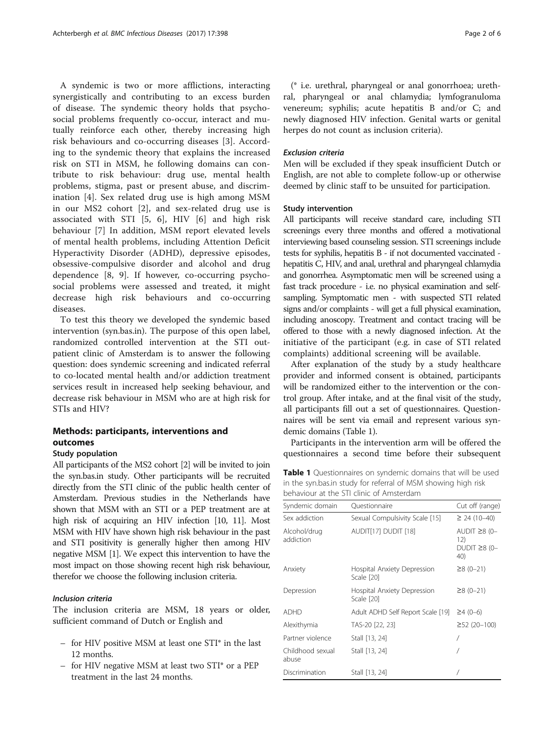<span id="page-1-0"></span>A syndemic is two or more afflictions, interacting synergistically and contributing to an excess burden of disease. The syndemic theory holds that psychosocial problems frequently co-occur, interact and mutually reinforce each other, thereby increasing high risk behaviours and co-occurring diseases [\[3](#page-5-0)]. According to the syndemic theory that explains the increased risk on STI in MSM, he following domains can contribute to risk behaviour: drug use, mental health problems, stigma, past or present abuse, and discrimination [\[4](#page-5-0)]. Sex related drug use is high among MSM in our MS2 cohort [[2\]](#page-5-0), and sex-related drug use is associated with STI [\[5](#page-5-0), [6](#page-5-0)], HIV [[6\]](#page-5-0) and high risk behaviour [\[7](#page-5-0)] In addition, MSM report elevated levels of mental health problems, including Attention Deficit Hyperactivity Disorder (ADHD), depressive episodes, obsessive-compulsive disorder and alcohol and drug dependence [[8](#page-5-0), [9](#page-5-0)]. If however, co-occurring psychosocial problems were assessed and treated, it might decrease high risk behaviours and co-occurring diseases.

To test this theory we developed the syndemic based intervention (syn.bas.in). The purpose of this open label, randomized controlled intervention at the STI outpatient clinic of Amsterdam is to answer the following question: does syndemic screening and indicated referral to co-located mental health and/or addiction treatment services result in increased help seeking behaviour, and decrease risk behaviour in MSM who are at high risk for STIs and HIV?

# Methods: participants, interventions and outcomes

# Study population

All participants of the MS2 cohort [\[2\]](#page-5-0) will be invited to join the syn.bas.in study. Other participants will be recruited directly from the STI clinic of the public health center of Amsterdam. Previous studies in the Netherlands have shown that MSM with an STI or a PEP treatment are at high risk of acquiring an HIV infection [\[10, 11\]](#page-5-0). Most MSM with HIV have shown high risk behaviour in the past and STI positivity is generally higher then among HIV negative MSM [\[1](#page-5-0)]. We expect this intervention to have the most impact on those showing recent high risk behaviour, therefor we choose the following inclusion criteria.

# Inclusion criteria

The inclusion criteria are MSM, 18 years or older, sufficient command of Dutch or English and

- for HIV positive MSM at least one STI<sup>\*</sup> in the last 12 months.
- for HIV negative MSM at least two STI<sup>\*</sup> or a PEP<br>treatment in the last 24 months.

(\* i.e. urethral, pharyngeal or anal gonorrhoea; urethral, pharyngeal or anal chlamydia; lymfogranuloma venereum; syphilis; acute hepatitis B and/or C; and newly diagnosed HIV infection. Genital warts or genital herpes do not count as inclusion criteria).

# Exclusion criteria

Men will be excluded if they speak insufficient Dutch or English, are not able to complete follow-up or otherwise deemed by clinic staff to be unsuited for participation.

# Study intervention

All participants will receive standard care, including STI screenings every three months and offered a motivational interviewing based counseling session. STI screenings include tests for syphilis, hepatitis B - if not documented vaccinated hepatitis C, HIV, and anal, urethral and pharyngeal chlamydia and gonorrhea. Asymptomatic men will be screened using a fast track procedure - i.e. no physical examination and selfsampling. Symptomatic men - with suspected STI related signs and/or complaints - will get a full physical examination, including anoscopy. Treatment and contact tracing will be offered to those with a newly diagnosed infection. At the initiative of the participant (e.g. in case of STI related complaints) additional screening will be available.

After explanation of the study by a study healthcare provider and informed consent is obtained, participants will be randomized either to the intervention or the control group. After intake, and at the final visit of the study, all participants fill out a set of questionnaires. Questionnaires will be sent via email and represent various syndemic domains (Table 1).

Participants in the intervention arm will be offered the questionnaires a second time before their subsequent

Table 1 Questionnaires on syndemic domains that will be used in the syn.bas.in study for referral of MSM showing high risk behaviour at the STI clinic of Amsterdam

| Syndemic domain           | Questionnaire                             | Cut off (range)                                        |
|---------------------------|-------------------------------------------|--------------------------------------------------------|
| Sex addiction             | Sexual Compulsivity Scale [15]            | $\geq$ 24 (10-40)                                      |
| Alcohol/drug<br>addiction | AUDIT[17] DUDIT [18]                      | AUDIT $\geq$ 8 (0-<br>12)<br>DUDIT $\geq$ 8 (0-<br>40) |
| Anxiety                   | Hospital Anxiety Depression<br>Scale [20] | $\geq$ 8 (0-21)                                        |
| Depression                | Hospital Anxiety Depression<br>Scale [20] | $\geq$ 8 (0-21)                                        |
| <b>ADHD</b>               | Adult ADHD Self Report Scale [19]         | $\geq 4$ (0-6)                                         |
| Alexithymia               | TAS-20 [22, 23]                           | $\geq$ 52 (20-100)                                     |
| Partner violence          | Stall [13, 24]                            |                                                        |
| Childhood sexual<br>abuse | Stall [13, 24]                            |                                                        |
| Discrimination            | Stall [13, 24]                            |                                                        |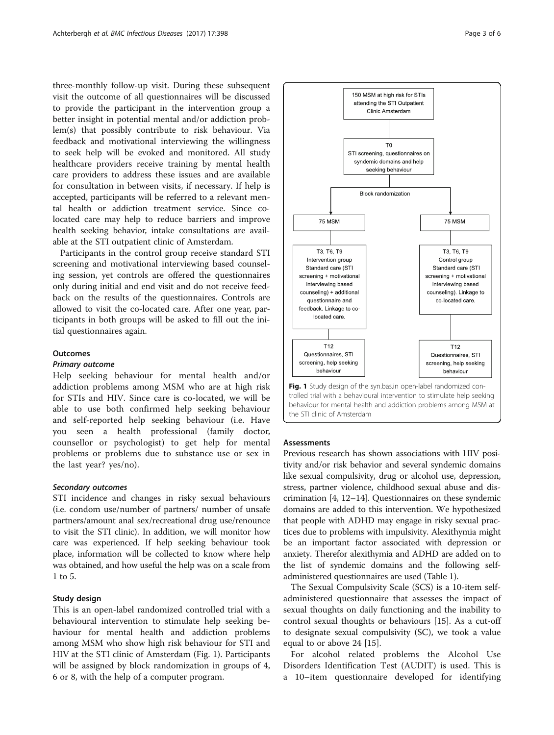three-monthly follow-up visit. During these subsequent visit the outcome of all questionnaires will be discussed to provide the participant in the intervention group a better insight in potential mental and/or addiction problem(s) that possibly contribute to risk behaviour. Via feedback and motivational interviewing the willingness to seek help will be evoked and monitored. All study healthcare providers receive training by mental health care providers to address these issues and are available for consultation in between visits, if necessary. If help is accepted, participants will be referred to a relevant mental health or addiction treatment service. Since colocated care may help to reduce barriers and improve health seeking behavior, intake consultations are available at the STI outpatient clinic of Amsterdam.

Participants in the control group receive standard STI screening and motivational interviewing based counseling session, yet controls are offered the questionnaires only during initial and end visit and do not receive feedback on the results of the questionnaires. Controls are allowed to visit the co-located care. After one year, participants in both groups will be asked to fill out the initial questionnaires again.

## **Outcomes**

#### Primary outcome

Help seeking behaviour for mental health and/or addiction problems among MSM who are at high risk for STIs and HIV. Since care is co-located, we will be able to use both confirmed help seeking behaviour and self-reported help seeking behaviour (i.e. Have you seen a health professional (family doctor, counsellor or psychologist) to get help for mental problems or problems due to substance use or sex in the last year? yes/no).

## Secondary outcomes

STI incidence and changes in risky sexual behaviours (i.e. condom use/number of partners/ number of unsafe partners/amount anal sex/recreational drug use/renounce to visit the STI clinic). In addition, we will monitor how care was experienced. If help seeking behaviour took place, information will be collected to know where help was obtained, and how useful the help was on a scale from 1 to 5.

# Study design

This is an open-label randomized controlled trial with a behavioural intervention to stimulate help seeking behaviour for mental health and addiction problems among MSM who show high risk behaviour for STI and HIV at the STI clinic of Amsterdam (Fig. 1). Participants will be assigned by block randomization in groups of 4, 6 or 8, with the help of a computer program.



150 MSM at high risk for STIs attending the STI Outpatient Clinic Amsterdam

 $T<sub>0</sub>$ STI screening, questionnaires on syndemic domains and help seeking behaviour

#### **Assessments**

the STI clinic of Amsterdam

Previous research has shown associations with HIV positivity and/or risk behavior and several syndemic domains like sexual compulsivity, drug or alcohol use, depression, stress, partner violence, childhood sexual abuse and discrimination [\[4](#page-5-0), [12](#page-5-0)–[14](#page-5-0)]. Questionnaires on these syndemic domains are added to this intervention. We hypothesized that people with ADHD may engage in risky sexual practices due to problems with impulsivity. Alexithymia might be an important factor associated with depression or anxiety. Therefor alexithymia and ADHD are added on to the list of syndemic domains and the following selfadministered questionnaires are used (Table [1](#page-1-0)).

The Sexual Compulsivity Scale (SCS) is a 10-item selfadministered questionnaire that assesses the impact of sexual thoughts on daily functioning and the inability to control sexual thoughts or behaviours [[15\]](#page-5-0). As a cut-off to designate sexual compulsivity (SC), we took a value equal to or above 24 [[15\]](#page-5-0).

For alcohol related problems the Alcohol Use Disorders Identification Test (AUDIT) is used. This is a 10–item questionnaire developed for identifying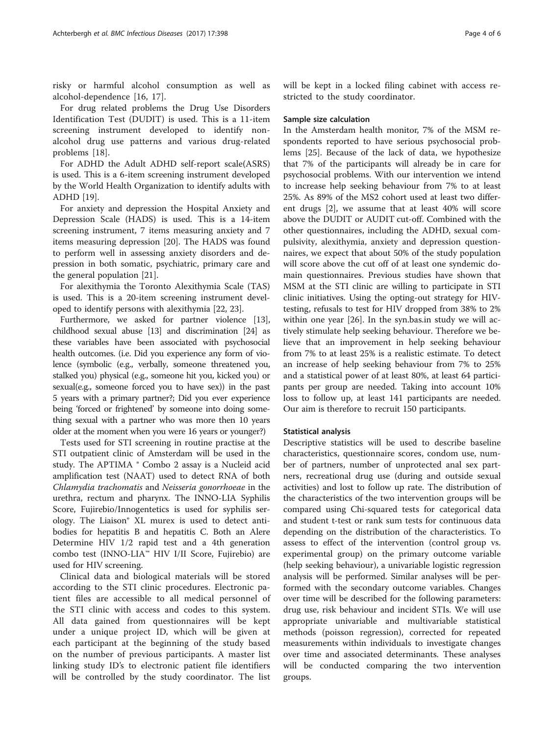risky or harmful alcohol consumption as well as alcohol-dependence [[16, 17](#page-5-0)].

For drug related problems the Drug Use Disorders Identification Test (DUDIT) is used. This is a 11-item screening instrument developed to identify nonalcohol drug use patterns and various drug-related problems [[18\]](#page-5-0).

For ADHD the Adult ADHD self-report scale(ASRS) is used. This is a 6-item screening instrument developed by the World Health Organization to identify adults with ADHD [[19](#page-5-0)].

For anxiety and depression the Hospital Anxiety and Depression Scale (HADS) is used. This is a 14-item screening instrument, 7 items measuring anxiety and 7 items measuring depression [[20\]](#page-5-0). The HADS was found to perform well in assessing anxiety disorders and depression in both somatic, psychiatric, primary care and the general population [\[21](#page-5-0)].

For alexithymia the Toronto Alexithymia Scale (TAS) is used. This is a 20-item screening instrument developed to identify persons with alexithymia [\[22](#page-5-0), [23](#page-5-0)].

Furthermore, we asked for partner violence [[13](#page-5-0)], childhood sexual abuse [[13](#page-5-0)] and discrimination [\[24\]](#page-5-0) as these variables have been associated with psychosocial health outcomes. (i.e. Did you experience any form of violence (symbolic (e.g., verbally, someone threatened you, stalked you) physical (e.g., someone hit you, kicked you) or sexual(e.g., someone forced you to have sex)) in the past 5 years with a primary partner?; Did you ever experience being 'forced or frightened' by someone into doing something sexual with a partner who was more then 10 years older at the moment when you were 16 years or younger?)

Tests used for STI screening in routine practise at the STI outpatient clinic of Amsterdam will be used in the study. The APTIMA ® Combo 2 assay is a Nucleid acid amplification test (NAAT) used to detect RNA of both Chlamydia trachomatis and Neisseria gonorrhoeae in the urethra, rectum and pharynx. The INNO-LIA Syphilis Score, Fujirebio/Innogentetics is used for syphilis serology. The Liaison® XL murex is used to detect antibodies for hepatitis B and hepatitis C. Both an Alere Determine HIV 1/2 rapid test and a 4th generation combo test (INNO-LIA™ HIV I/II Score, Fujirebio) are used for HIV screening.

Clinical data and biological materials will be stored according to the STI clinic procedures. Electronic patient files are accessible to all medical personnel of the STI clinic with access and codes to this system. All data gained from questionnaires will be kept under a unique project ID, which will be given at each participant at the beginning of the study based on the number of previous participants. A master list linking study ID's to electronic patient file identifiers will be controlled by the study coordinator. The list

will be kept in a locked filing cabinet with access restricted to the study coordinator.

# Sample size calculation

In the Amsterdam health monitor, 7% of the MSM respondents reported to have serious psychosocial problems [\[25](#page-5-0)]. Because of the lack of data, we hypothesize that 7% of the participants will already be in care for psychosocial problems. With our intervention we intend to increase help seeking behaviour from 7% to at least 25%. As 89% of the MS2 cohort used at least two different drugs [\[2](#page-5-0)], we assume that at least 40% will score above the DUDIT or AUDIT cut-off. Combined with the other questionnaires, including the ADHD, sexual compulsivity, alexithymia, anxiety and depression questionnaires, we expect that about 50% of the study population will score above the cut off of at least one syndemic domain questionnaires. Previous studies have shown that MSM at the STI clinic are willing to participate in STI clinic initiatives. Using the opting-out strategy for HIVtesting, refusals to test for HIV dropped from 38% to 2% within one year [[26\]](#page-5-0). In the syn.bas.in study we will actively stimulate help seeking behaviour. Therefore we believe that an improvement in help seeking behaviour from 7% to at least 25% is a realistic estimate. To detect an increase of help seeking behaviour from 7% to 25% and a statistical power of at least 80%, at least 64 participants per group are needed. Taking into account 10% loss to follow up, at least 141 participants are needed. Our aim is therefore to recruit 150 participants.

# Statistical analysis

Descriptive statistics will be used to describe baseline characteristics, questionnaire scores, condom use, number of partners, number of unprotected anal sex partners, recreational drug use (during and outside sexual activities) and lost to follow up rate. The distribution of the characteristics of the two intervention groups will be compared using Chi-squared tests for categorical data and student t-test or rank sum tests for continuous data depending on the distribution of the characteristics. To assess to effect of the intervention (control group vs. experimental group) on the primary outcome variable (help seeking behaviour), a univariable logistic regression analysis will be performed. Similar analyses will be performed with the secondary outcome variables. Changes over time will be described for the following parameters: drug use, risk behaviour and incident STIs. We will use appropriate univariable and multivariable statistical methods (poisson regression), corrected for repeated measurements within individuals to investigate changes over time and associated determinants. These analyses will be conducted comparing the two intervention groups.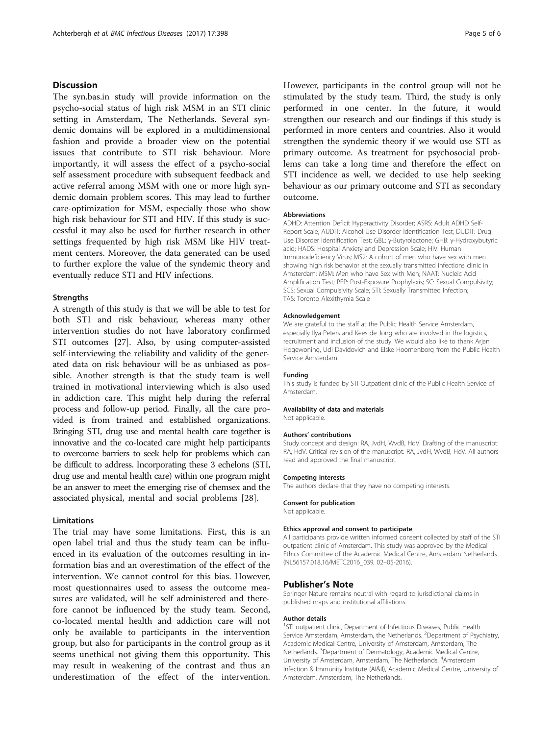# **Discussion**

The syn.bas.in study will provide information on the psycho-social status of high risk MSM in an STI clinic setting in Amsterdam, The Netherlands. Several syndemic domains will be explored in a multidimensional fashion and provide a broader view on the potential issues that contribute to STI risk behaviour. More importantly, it will assess the effect of a psycho-social self assessment procedure with subsequent feedback and active referral among MSM with one or more high syndemic domain problem scores. This may lead to further care-optimization for MSM, especially those who show high risk behaviour for STI and HIV. If this study is successful it may also be used for further research in other settings frequented by high risk MSM like HIV treatment centers. Moreover, the data generated can be used to further explore the value of the syndemic theory and eventually reduce STI and HIV infections.

## **Strengths**

A strength of this study is that we will be able to test for both STI and risk behaviour, whereas many other intervention studies do not have laboratory confirmed STI outcomes [[27\]](#page-5-0). Also, by using computer-assisted self-interviewing the reliability and validity of the generated data on risk behaviour will be as unbiased as possible. Another strength is that the study team is well trained in motivational interviewing which is also used in addiction care. This might help during the referral process and follow-up period. Finally, all the care provided is from trained and established organizations. Bringing STI, drug use and mental health care together is innovative and the co-located care might help participants to overcome barriers to seek help for problems which can be difficult to address. Incorporating these 3 echelons (STI, drug use and mental health care) within one program might be an answer to meet the emerging rise of chemsex and the associated physical, mental and social problems [[28\]](#page-5-0).

# Limitations

The trial may have some limitations. First, this is an open label trial and thus the study team can be influenced in its evaluation of the outcomes resulting in information bias and an overestimation of the effect of the intervention. We cannot control for this bias. However, most questionnaires used to assess the outcome measures are validated, will be self administered and therefore cannot be influenced by the study team. Second, co-located mental health and addiction care will not only be available to participants in the intervention group, but also for participants in the control group as it seems unethical not giving them this opportunity. This may result in weakening of the contrast and thus an underestimation of the effect of the intervention.

However, participants in the control group will not be stimulated by the study team. Third, the study is only performed in one center. In the future, it would strengthen our research and our findings if this study is performed in more centers and countries. Also it would strengthen the syndemic theory if we would use STI as primary outcome. As treatment for psychosocial problems can take a long time and therefore the effect on STI incidence as well, we decided to use help seeking behaviour as our primary outcome and STI as secondary outcome.

### Abbreviations

ADHD: [Attention Deficit Hyperactivity Disorder](https://www.nimh.nih.gov/health/topics/attention-deficit-hyperactivity-disorder-adhd/); ASRS: Adult ADHD Self-Report Scale; AUDIT: Alcohol Use Disorder Identification Test; DUDIT: Drug Use Disorder Identification Test; GBL: γ-Butyrolactone; GHB: γ-Hydroxybutyric acid; HADS: Hospital Anxiety and Depression Scale; HIV: Human Immunodeficiency Virus; MS2: A cohort of men who have sex with men showing high risk behavior at the sexually transmitted infections clinic in Amsterdam; MSM: Men who have Sex with Men; NAAT: Nucleic Acid Amplification Test; PEP: Post-Exposure Prophylaxis; SC: Sexual Compulsivity; SCS: Sexual Compulsivity Scale; STI: Sexually Transmitted Infection; TAS: Toronto Alexithymia Scale

#### Acknowledgement

We are grateful to the staff at the Public Health Service Amsterdam, especially Ilya Peters and Kees de Jong who are involved in the logistics, recruitment and inclusion of the study. We would also like to thank Arjan Hogewoning, Udi Davidovich and Elske Hoornenborg from the Public Health Service Amsterdam.

### Funding

This study is funded by STI Outpatient clinic of the Public Health Service of Amsterdam.

#### Availability of data and materials

Not applicable.

### Authors' contributions

Study concept and design: RA, JvdH, WvdB, HdV. Drafting of the manuscript: RA, HdV. Critical revision of the manuscript: RA, JvdH, WvdB, HdV. All authors read and approved the final manuscript.

#### Competing interests

The authors declare that they have no competing interests.

#### Consent for publication

Not applicable.

#### Ethics approval and consent to participate

All participants provide written informed consent collected by staff of the STI outpatient clinic of Amsterdam. This study was approved by the Medical Ethics Committee of the Academic Medical Centre, Amsterdam Netherlands (NL56157.018.16/METC2016\_039, 02–05-2016).

## Publisher's Note

Springer Nature remains neutral with regard to jurisdictional claims in published maps and institutional affiliations.

#### Author details

<sup>1</sup>STI outpatient clinic, Department of Infectious Diseases, Public Health Service Amsterdam, Amsterdam, the Netherlands. <sup>2</sup>Department of Psychiatry Academic Medical Centre, University of Amsterdam, Amsterdam, The Netherlands. <sup>3</sup>Department of Dermatology, Academic Medical Centre, University of Amsterdam, Amsterdam, The Netherlands. <sup>4</sup>Amsterdam Infection & Immunity Institute (AI&II), Academic Medical Centre, University of Amsterdam, Amsterdam, The Netherlands.